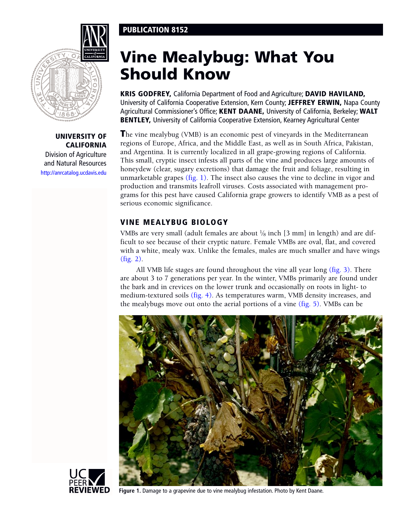## PUBLICATION 8152



## UNIVERSITY OF CALIFORNIA

Division of Agriculture and Natural Resources <http://anrcatalog.ucdavis.edu>

# Vine Mealybug: What You Should Know

KRIS GODFREY, California Department of Food and Agriculture; DAVID HAVILAND, University of California Cooperative Extension, Kern County; JEFFREY ERWIN, Napa County Agricultural Commissioner's Office; KENT DAANE, University of California, Berkeley; WALT BENTLEY, University of California Cooperative Extension, Kearney Agricultural Center

The vine mealybug (VMB) is an economic pest of vineyards in the Mediterranean regions of Europe, Africa, and the Middle East, as well as in South Africa, Pakistan, and Argentina. It is currently localized in all grape-growing regions of California. This small, cryptic insect infests all parts of the vine and produces large amounts of honeydew (clear, sugary excretions) that damage the fruit and foliage, resulting in unmarketable grapes (fig. 1). The insect also causes the vine to decline in vigor and production and transmits leafroll viruses. Costs associated with management programs for this pest have caused California grape growers to identify VMB as a pest of serious economic significance.

## VINE MEALYBUG BIOLOGY

VMBs are very small (adult females are about  $\frac{1}{8}$  inch [3 mm] in length) and are difficult to see because of their cryptic nature. Female VMBs are oval, flat, and covered with a white, mealy wax. Unlike the females, males are much smaller and have wings [\(fig. 2\).](#page-1-0)

All VMB life stages are found throughout the vine all year long [\(fig. 3\).](#page-1-0) There are about 3 to 7 generations per year. In the winter, VMBs primarily are found under the bark and in crevices on the lower trunk and occasionally on roots in light- to medium-textured soils [\(fig. 4\).](#page-1-0) As temperatures warm, VMB density increases, and the mealybugs move out onto the aerial portions of a vine [\(fig. 5\).](#page-1-0) VMBs can be





**Figure 1.** Damage to a grapevine due to vine mealybug infestation. Photo by Kent Daane.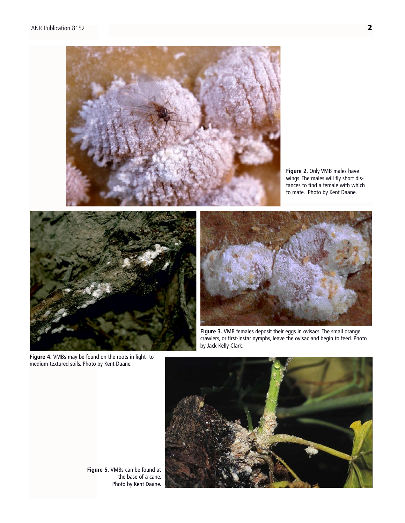<span id="page-1-0"></span>

**Figure 2.** Only VMB males have wings. The males will fly short distances to find a female with which to mate. Photo by Kent Daane.



**Figure 4.** VMBs may be found on the roots in light- to medium-textured soils. Photo by Kent Daane.

**Figure 3.** VMB females deposit their eggs in ovisacs. The small orange crawlers, or first-instar nymphs, leave the ovisac and begin to feed. Photo by Jack Kelly Clark.



**Figure 5.** VMBs can be found at the base of a cane. Photo by Kent Daane.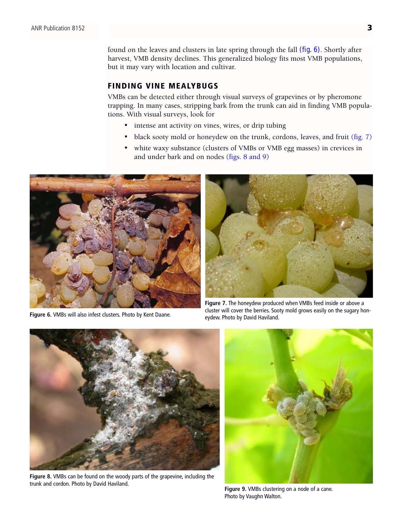found on the leaves and clusters in late spring through the fall (fig. 6). Shortly after harvest, VMB density declines. This generalized biology fits most VMB populations, but it may vary with location and cultivar.

## FINDING VINE MEALYBUGS

VMBs can be detected either through visual surveys of grapevines or by pheromone trapping. In many cases, stripping bark from the trunk can aid in finding VMB populations. With visual surveys, look for

- intense ant activity on vines, wires, or drip tubing
- black sooty mold or honeydew on the trunk, cordons, leaves, and fruit (fig. 7)
- white waxy substance (clusters of VMBs or VMB egg masses) in crevices in and under bark and on nodes (figs. 8 and 9)



**Figure 6.** VMBs will also infest clusters. Photo by Kent Daane.



**Figure 7.** The honeydew produced when VMBs feed inside or above a cluster will cover the berries. Sooty mold grows easily on the sugary honeydew. Photo by David Haviland.



**Figure 8.** VMBs can be found on the woody parts of the grapevine, including the trunk and cordon. Photo by David Haviland. **Figure 9.** VMBs clustering on a node of a cane.



Photo by Vaughn Walton.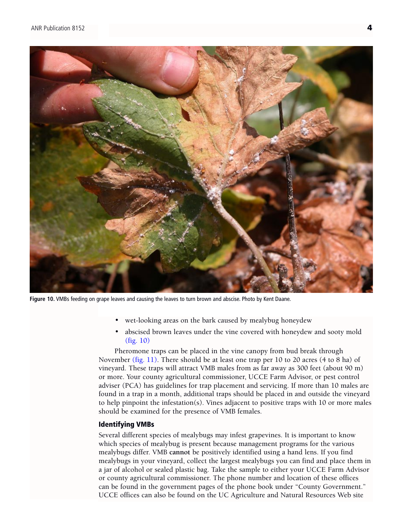

**Figure 10.** VMBs feeding on grape leaves and causing the leaves to turn brown and abscise. Photo by Kent Daane.

- wet-looking areas on the bark caused by mealybug honeydew
- abscised brown leaves under the vine covered with honeydew and sooty mold (fig. 10)

Pheromone traps can be placed in the vine canopy from bud break through November [\(fig. 11\).](#page-4-0) There should be at least one trap per 10 to 20 acres (4 to 8 ha) of vineyard. These traps will attract VMB males from as far away as 300 feet (about 90 m) or more. Your county agricultural commissioner, UCCE Farm Advisor, or pest control adviser (PCA) has guidelines for trap placement and servicing. If more than 10 males are found in a trap in a month, additional traps should be placed in and outside the vineyard to help pinpoint the infestation(s). Vines adjacent to positive traps with 10 or more males should be examined for the presence of VMB females.

#### Identifying VMBs

Several different species of mealybugs may infest grapevines. It is important to know which species of mealybug is present because management programs for the various mealybugs differ. VMB **cannot** be positively identified using a hand lens. If you find mealybugs in your vineyard, collect the largest mealybugs you can find and place them in a jar of alcohol or sealed plastic bag. Take the sample to either your UCCE Farm Advisor or county agricultural commissioner. The phone number and location of these offices can be found in the government pages of the phone book under "County Government." UCCE offices can also be found on the UC Agriculture and Natural Resources Web site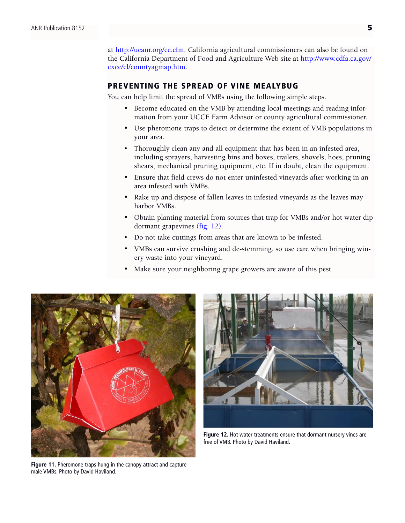<span id="page-4-0"></span>at<http://ucanr.org/ce.cfm>. California agricultural commissioners can also be found on the California Department of Food and Agriculture Web site at [http://www.cdfa.ca.gov/](http://www.cdfa.ca.gov/exec/cl/countyagmap.htm) [exec/cl/countyagmap.htm](http://www.cdfa.ca.gov/exec/cl/countyagmap.htm).

#### PREVENTING THE SPREAD OF VINE MEALYBUG

You can help limit the spread of VMBs using the following simple steps.

- Become educated on the VMB by attending local meetings and reading information from your UCCE Farm Advisor or county agricultural commissioner.
- Use pheromone traps to detect or determine the extent of VMB populations in your area.
- Thoroughly clean any and all equipment that has been in an infested area, including sprayers, harvesting bins and boxes, trailers, shovels, hoes, pruning shears, mechanical pruning equipment, etc. If in doubt, clean the equipment.
- Ensure that field crews do not enter uninfested vineyards after working in an area infested with VMBs.
- Rake up and dispose of fallen leaves in infested vineyards as the leaves may harbor VMBs.
- Obtain planting material from sources that trap for VMBs and/or hot water dip dormant grapevines [\(fig. 12\).](#page-5-0)
- Do not take cuttings from areas that are known to be infested.
- VMBs can survive crushing and de-stemming, so use care when bringing winery waste into your vineyard.
- Make sure your neighboring grape growers are aware of this pest.



**Figure 11.** Pheromone traps hung in the canopy attract and capture male VMBs. Photo by David Haviland.



**Figure 12.** Hot water treatments ensure that dormant nursery vines are free of VMB. Photo by David Haviland.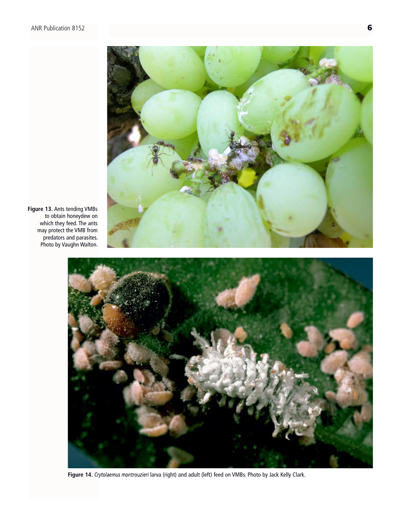<span id="page-5-0"></span>

**Figure 13.** Ants tending VMBs to obtain honeydew on which they feed. The ants may protect the VMB from predators and parasites. Photo by Vaughn Walton.



**Figure 14.** *Crytolaemus montrouzieri* larva (right) and adult (left) feed on VMBs. Photo by Jack Kelly Clark.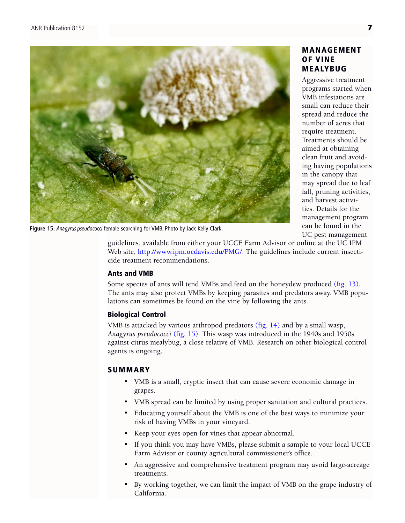

**Figure 15.** *Anagyrus pseudococci* female searching for VMB. Photo by Jack Kelly Clark.

## MANAGEMENT OF VINE MEALYBUG

Aggressive treatment programs started when VMB infestations are small can reduce their spread and reduce the number of acres that require treatment. Treatments should be aimed at obtaining clean fruit and avoiding having populations in the canopy that may spread due to leaf fall, pruning activities, and harvest activities. Details for the management program can be found in the UC pest management

guidelines, available from either your UCCE Farm Advisor or online at the UC IPM Web site, [http://www.ipm.ucdavis.edu/PMG/.](http://www.ipm.ucdavis.edu/PMG/) The guidelines include current insecticide treatment recommendations.

#### Ants and VMB

Some species of ants will tend VMBs and feed on the honeydew produced [\(fig. 13\).](#page-5-0)  The ants may also protect VMBs by keeping parasites and predators away. VMB populations can sometimes be found on the vine by following the ants.

## Biological Control

VMB is attacked by various arthropod predators [\(fig. 14\)](#page-5-0) and by a small wasp, *Anagyrus pseudococci* (fig. 15). This wasp was introduced in the 1940s and 1950s against citrus mealybug, a close relative of VMB. Research on other biological control agents is ongoing.

## SUMMARY

- VMB is a small, cryptic insect that can cause severe economic damage in grapes.
- VMB spread can be limited by using proper sanitation and cultural practices.
- Educating yourself about the VMB is one of the best ways to minimize your risk of having VMBs in your vineyard.
- Keep your eyes open for vines that appear abnormal.
- If you think you may have VMBs, please submit a sample to your local UCCE Farm Advisor or county agricultural commissioner's office.
- An aggressive and comprehensive treatment program may avoid large-acreage treatments.
- By working together, we can limit the impact of VMB on the grape industry of California.